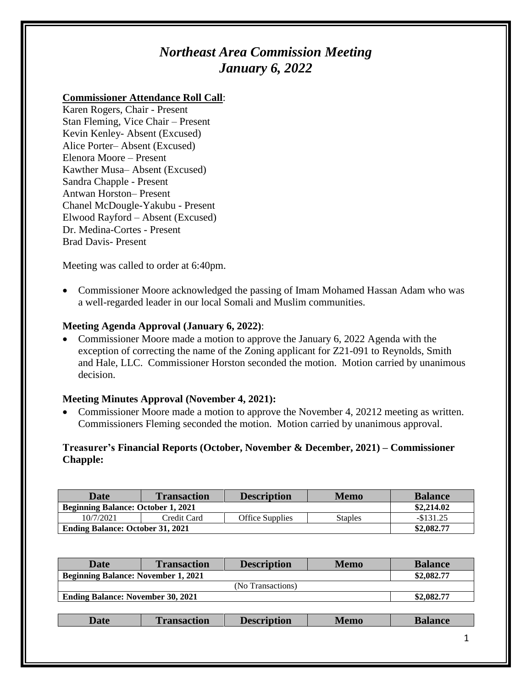# *Northeast Area Commission Meeting January 6, 2022*

#### **Commissioner Attendance Roll Call**:

Karen Rogers, Chair - Present Stan Fleming, Vice Chair – Present Kevin Kenley- Absent (Excused) Alice Porter– Absent (Excused) Elenora Moore – Present Kawther Musa– Absent (Excused) Sandra Chapple - Present Antwan Horston– Present Chanel McDougle-Yakubu - Present Elwood Rayford – Absent (Excused) Dr. Medina-Cortes - Present Brad Davis- Present

Meeting was called to order at 6:40pm.

 Commissioner Moore acknowledged the passing of Imam Mohamed Hassan Adam who was a well-regarded leader in our local Somali and Muslim communities.

## **Meeting Agenda Approval (January 6, 2022)**:

• Commissioner Moore made a motion to approve the January 6, 2022 Agenda with the exception of correcting the name of the Zoning applicant for Z21-091 to Reynolds, Smith and Hale, LLC. Commissioner Horston seconded the motion. Motion carried by unanimous decision.

#### **Meeting Minutes Approval (November 4, 2021):**

 Commissioner Moore made a motion to approve the November 4, 20212 meeting as written. Commissioners Fleming seconded the motion. Motion carried by unanimous approval.

## **Treasurer's Financial Reports (October, November & December, 2021) – Commissioner Chapple:**

| Date                                      | <b>Transaction</b> | <b>Description</b> | <b>Memo</b> | <b>Balance</b> |
|-------------------------------------------|--------------------|--------------------|-------------|----------------|
| <b>Beginning Balance: October 1, 2021</b> | \$2,214.02         |                    |             |                |
| 10/7/2021                                 | Credit Card        | Office Supplies    | Staples     | $-\$131.25$    |
| <b>Ending Balance: October 31, 2021</b>   | \$2,082.77         |                    |             |                |

| <b>Date</b>                                | <b>Transaction</b> | <b>Description</b> | <b>Memo</b> | <b>Balance</b> |
|--------------------------------------------|--------------------|--------------------|-------------|----------------|
| <b>Beginning Balance: November 1, 2021</b> | \$2,082.77         |                    |             |                |
|                                            |                    | (No Transactions)  |             |                |
| <b>Ending Balance: November 30, 2021</b>   | \$2,082.77         |                    |             |                |
|                                            |                    |                    |             |                |
| <b>Date</b>                                | <b>Transaction</b> | <b>Description</b> | <b>Memo</b> | <b>Balance</b> |
|                                            |                    |                    |             |                |
|                                            |                    |                    |             |                |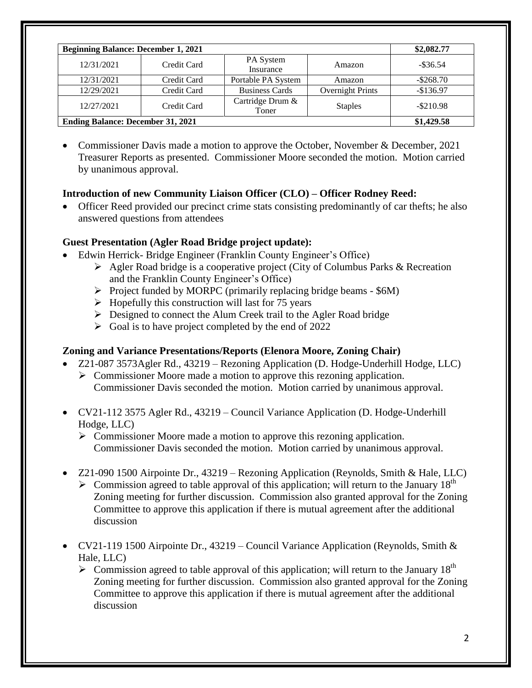| <b>Beginning Balance: December 1, 2021</b> | \$2,082.77  |                           |                  |              |
|--------------------------------------------|-------------|---------------------------|------------------|--------------|
| 12/31/2021                                 | Credit Card | PA System<br>Insurance    | Amazon           | $-$ \$36.54  |
| 12/31/2021                                 | Credit Card | Portable PA System        | Amazon           | $-$ \$268.70 |
| 12/29/2021                                 | Credit Card | <b>Business Cards</b>     | Overnight Prints | $-$136.97$   |
| 12/27/2021                                 | Credit Card | Cartridge Drum &<br>Toner | <b>Staples</b>   | $-$ \$210.98 |
| <b>Ending Balance: December 31, 2021</b>   | \$1,429.58  |                           |                  |              |

• Commissioner Davis made a motion to approve the October, November & December, 2021 Treasurer Reports as presented. Commissioner Moore seconded the motion. Motion carried by unanimous approval.

# **Introduction of new Community Liaison Officer (CLO) – Officer Rodney Reed:**

 Officer Reed provided our precinct crime stats consisting predominantly of car thefts; he also answered questions from attendees

## **Guest Presentation (Agler Road Bridge project update):**

- Edwin Herrick- Bridge Engineer (Franklin County Engineer's Office)
	- $\triangleright$  Agler Road bridge is a cooperative project (City of Columbus Parks & Recreation and the Franklin County Engineer's Office)
	- $\triangleright$  Project funded by MORPC (primarily replacing bridge beams \$6M)
	- $\triangleright$  Hopefully this construction will last for 75 years
	- Designed to connect the Alum Creek trail to the Agler Road bridge
	- $\triangleright$  Goal is to have project completed by the end of 2022

# **Zoning and Variance Presentations/Reports (Elenora Moore, Zoning Chair)**

- Z21-087 3573Agler Rd., 43219 Rezoning Application (D. Hodge-Underhill Hodge, LLC)
	- $\triangleright$  Commissioner Moore made a motion to approve this rezoning application. Commissioner Davis seconded the motion. Motion carried by unanimous approval.
- CV21-112 3575 Agler Rd., 43219 Council Variance Application (D. Hodge-Underhill Hodge, LLC)

 $\triangleright$  Commissioner Moore made a motion to approve this rezoning application. Commissioner Davis seconded the motion. Motion carried by unanimous approval.

- Z21-090 1500 Airpointe Dr., 43219 Rezoning Application (Reynolds, Smith & Hale, LLC)  $\triangleright$  Commission agreed to table approval of this application; will return to the January 18<sup>th</sup> Zoning meeting for further discussion. Commission also granted approval for the Zoning Committee to approve this application if there is mutual agreement after the additional discussion
- CV21-119 1500 Airpointe Dr., 43219 Council Variance Application (Reynolds, Smith & Hale, LLC)
	- $\triangleright$  Commission agreed to table approval of this application; will return to the January 18<sup>th</sup> Zoning meeting for further discussion. Commission also granted approval for the Zoning Committee to approve this application if there is mutual agreement after the additional discussion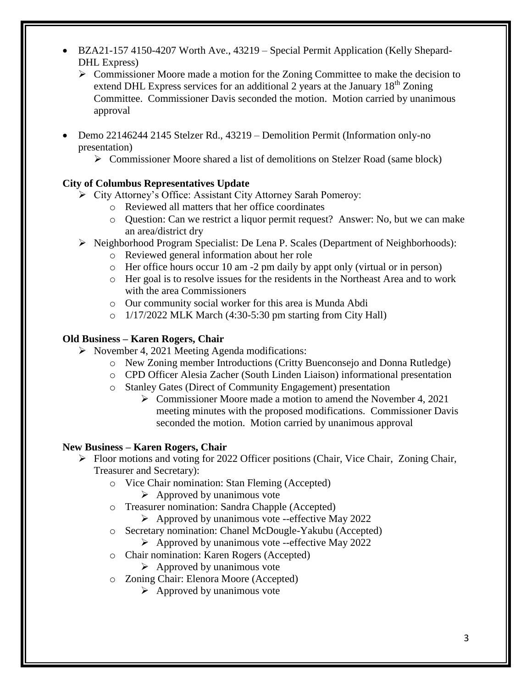- BZA21-157 4150-4207 Worth Ave., 43219 Special Permit Application (Kelly Shepard-DHL Express)
	- $\triangleright$  Commissioner Moore made a motion for the Zoning Committee to make the decision to extend DHL Express services for an additional 2 years at the January  $18<sup>th</sup>$  Zoning Committee. Commissioner Davis seconded the motion. Motion carried by unanimous approval
- Demo 22146244 2145 Stelzer Rd., 43219 Demolition Permit (Information only-no presentation)
	- $\triangleright$  Commissioner Moore shared a list of demolitions on Stelzer Road (same block)

# **City of Columbus Representatives Update**

- City Attorney's Office: Assistant City Attorney Sarah Pomeroy:
	- o Reviewed all matters that her office coordinates
	- o Question: Can we restrict a liquor permit request? Answer: No, but we can make an area/district dry
- Neighborhood Program Specialist: De Lena P. Scales (Department of Neighborhoods):
	- o Reviewed general information about her role
	- o Her office hours occur 10 am -2 pm daily by appt only (virtual or in person)
	- o Her goal is to resolve issues for the residents in the Northeast Area and to work with the area Commissioners
	- o Our community social worker for this area is Munda Abdi
	- o 1/17/2022 MLK March (4:30-5:30 pm starting from City Hall)

# **Old Business – Karen Rogers, Chair**

- November 4, 2021 Meeting Agenda modifications:
	- o New Zoning member Introductions (Critty Buenconsejo and Donna Rutledge)
	- o CPD Officer Alesia Zacher (South Linden Liaison) informational presentation
	- o Stanley Gates (Direct of Community Engagement) presentation
		- Commissioner Moore made a motion to amend the November 4, 2021 meeting minutes with the proposed modifications. Commissioner Davis seconded the motion. Motion carried by unanimous approval

# **New Business – Karen Rogers, Chair**

- Floor motions and voting for 2022 Officer positions (Chair, Vice Chair, Zoning Chair, Treasurer and Secretary):
	- o Vice Chair nomination: Stan Fleming (Accepted)
		- $\triangleright$  Approved by unanimous vote
	- o Treasurer nomination: Sandra Chapple (Accepted)
		- $\triangleright$  Approved by unanimous vote --effective May 2022
	- o Secretary nomination: Chanel McDougle-Yakubu (Accepted)
		- $\triangleright$  Approved by unanimous vote --effective May 2022
	- o Chair nomination: Karen Rogers (Accepted)
		- $\triangleright$  Approved by unanimous vote
	- o Zoning Chair: Elenora Moore (Accepted)
		- $\triangleright$  Approved by unanimous vote